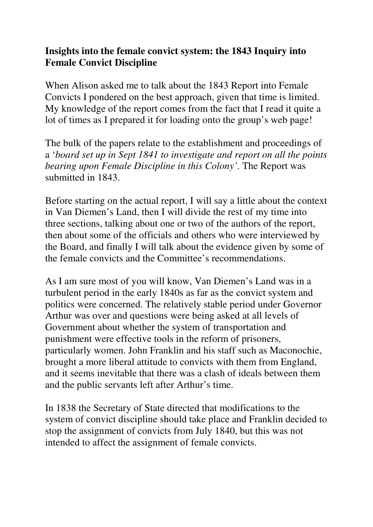## **Insights into the female convict system: the 1843 Inquiry into Female Convict Discipline**

When Alison asked me to talk about the 1843 Report into Female Convicts I pondered on the best approach, given that time is limited. My knowledge of the report comes from the fact that I read it quite a lot of times as I prepared it for loading onto the group's web page!

The bulk of the papers relate to the establishment and proceedings of a '*board set up in Sept 1841 to investigate and report on all the points bearing upon Female Discipline in this Colony'*. The Report was submitted in 1843.

Before starting on the actual report, I will say a little about the context in Van Diemen's Land, then I will divide the rest of my time into three sections, talking about one or two of the authors of the report, then about some of the officials and others who were interviewed by the Board, and finally I will talk about the evidence given by some of the female convicts and the Committee's recommendations.

As I am sure most of you will know, Van Diemen's Land was in a turbulent period in the early 1840s as far as the convict system and politics were concerned. The relatively stable period under Governor Arthur was over and questions were being asked at all levels of Government about whether the system of transportation and punishment were effective tools in the reform of prisoners, particularly women. John Franklin and his staff such as Maconochie, brought a more liberal attitude to convicts with them from England, and it seems inevitable that there was a clash of ideals between them and the public servants left after Arthur's time.

In 1838 the Secretary of State directed that modifications to the system of convict discipline should take place and Franklin decided to stop the assignment of convicts from July 1840, but this was not intended to affect the assignment of female convicts.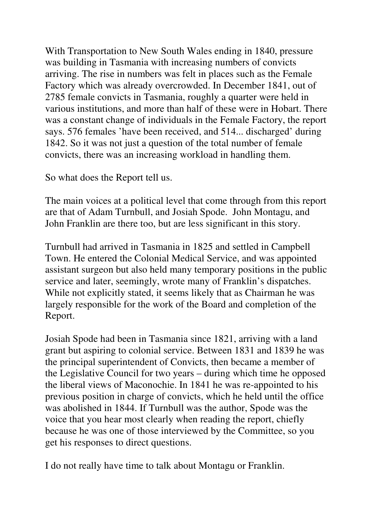With Transportation to New South Wales ending in 1840, pressure was building in Tasmania with increasing numbers of convicts arriving. The rise in numbers was felt in places such as the Female Factory which was already overcrowded. In December 1841, out of 2785 female convicts in Tasmania, roughly a quarter were held in various institutions, and more than half of these were in Hobart. There was a constant change of individuals in the Female Factory, the report says. 576 females 'have been received, and 514... discharged' during 1842. So it was not just a question of the total number of female convicts, there was an increasing workload in handling them.

So what does the Report tell us.

The main voices at a political level that come through from this report are that of Adam Turnbull, and Josiah Spode. John Montagu, and John Franklin are there too, but are less significant in this story.

Turnbull had arrived in Tasmania in 1825 and settled in Campbell Town. He entered the Colonial Medical Service, and was appointed assistant surgeon but also held many temporary positions in the public service and later, seemingly, wrote many of Franklin's dispatches. While not explicitly stated, it seems likely that as Chairman he was largely responsible for the work of the Board and completion of the Report.

Josiah Spode had been in Tasmania since 1821, arriving with a land grant but aspiring to colonial service. Between 1831 and 1839 he was the principal superintendent of Convicts, then became a member of the Legislative Council for two years – during which time he opposed the liberal views of Maconochie. In 1841 he was re-appointed to his previous position in charge of convicts, which he held until the office was abolished in 1844. If Turnbull was the author, Spode was the voice that you hear most clearly when reading the report, chiefly because he was one of those interviewed by the Committee, so you get his responses to direct questions.

I do not really have time to talk about Montagu or Franklin.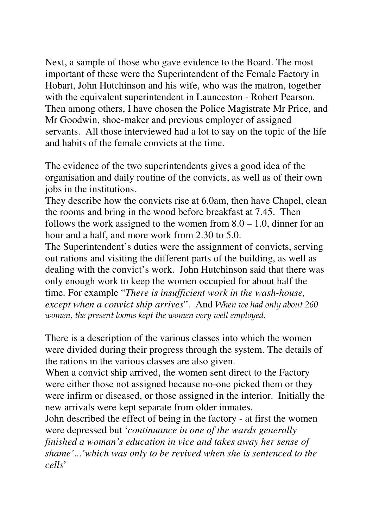Next, a sample of those who gave evidence to the Board. The most important of these were the Superintendent of the Female Factory in Hobart, John Hutchinson and his wife, who was the matron, together with the equivalent superintendent in Launceston - Robert Pearson. Then among others, I have chosen the Police Magistrate Mr Price, and Mr Goodwin, shoe-maker and previous employer of assigned servants. All those interviewed had a lot to say on the topic of the life and habits of the female convicts at the time.

The evidence of the two superintendents gives a good idea of the organisation and daily routine of the convicts, as well as of their own jobs in the institutions.

They describe how the convicts rise at 6.0am, then have Chapel, clean the rooms and bring in the wood before breakfast at 7.45. Then follows the work assigned to the women from  $8.0 - 1.0$ , dinner for an hour and a half, and more work from 2.30 to 5.0.

The Superintendent's duties were the assignment of convicts, serving out rations and visiting the different parts of the building, as well as dealing with the convict's work. John Hutchinson said that there was only enough work to keep the women occupied for about half the time. For example "*There is insufficient work in the wash-house, except when a convict ship arrives*". And When we had only about 260 women, the present looms kept the women very well employed.

There is a description of the various classes into which the women were divided during their progress through the system. The details of the rations in the various classes are also given.

When a convict ship arrived, the women sent direct to the Factory were either those not assigned because no-one picked them or they were infirm or diseased, or those assigned in the interior. Initially the new arrivals were kept separate from older inmates.

John described the effect of being in the factory - at first the women were depressed but '*continuance in one of the wards generally finished a woman's education in vice and takes away her sense of shame'*...*'which was only to be revived when she is sentenced to the cells*'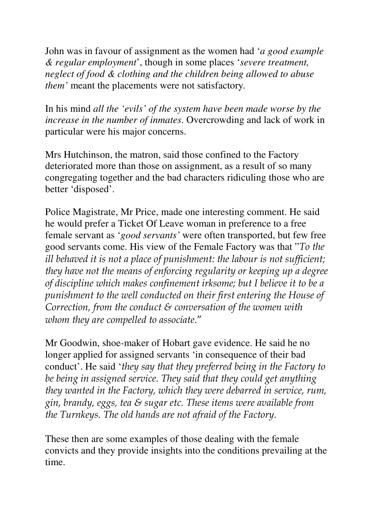John was in favour of assignment as the women had '*a good example & regular employment*', though in some places '*severe treatment, neglect of food & clothing and the children being allowed to abuse them'* meant the placements were not satisfactory*.* 

In his mind *all the 'evils' of the system have been made worse by the increase in the number of inmates*. Overcrowding and lack of work in particular were his major concerns.

Mrs Hutchinson, the matron, said those confined to the Factory deteriorated more than those on assignment, as a result of so many congregating together and the bad characters ridiculing those who are better 'disposed'.

Police Magistrate, Mr Price, made one interesting comment. He said he would prefer a Ticket Of Leave woman in preference to a free female servant as '*good servants'* were often transported, but few free good servants come. His view of the Female Factory was that "To the ill behaved it is not a place of punishment: the labour is not sufficient; they have not the means of enforcing regularity or keeping up a degree of discipline which makes confinement irksome; but I believe it to be a punishment to the well conducted on their first entering the House of Correction, from the conduct  $\varepsilon$  conversation of the women with whom they are compelled to associate."

Mr Goodwin, shoe-maker of Hobart gave evidence. He said he no longer applied for assigned servants 'in consequence of their bad conduct'. He said 'they say that they preferred being in the Factory to be being in assigned service. They said that they could get anything they wanted in the Factory, which they were debarred in service, rum, gin, brandy, eggs, tea & sugar etc. These items were available from the Turnkeys. The old hands are not afraid of the Factory.

These then are some examples of those dealing with the female convicts and they provide insights into the conditions prevailing at the time.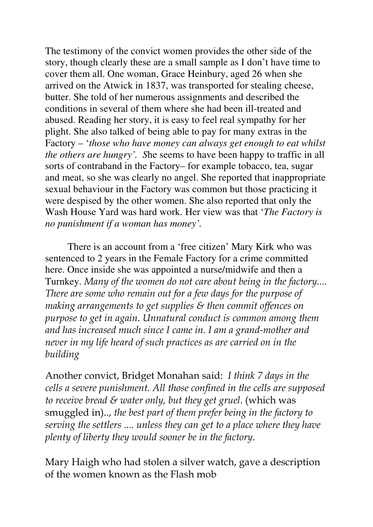The testimony of the convict women provides the other side of the story, though clearly these are a small sample as I don't have time to cover them all. One woman, Grace Heinbury, aged 26 when she arrived on the Atwick in 1837, was transported for stealing cheese, butter. She told of her numerous assignments and described the conditions in several of them where she had been ill-treated and abused. Reading her story, it is easy to feel real sympathy for her plight. She also talked of being able to pay for many extras in the Factory – '*those who have money can always get enough to eat whilst the others are hungry'. S*he seems to have been happy to traffic in all sorts of contraband in the Factory– for example tobacco, tea, sugar and meat, so she was clearly no angel. She reported that inappropriate sexual behaviour in the Factory was common but those practicing it were despised by the other women. She also reported that only the Wash House Yard was hard work. Her view was that '*The Factory is no punishment if a woman has money'.* 

There is an account from a 'free citizen' Mary Kirk who was sentenced to 2 years in the Female Factory for a crime committed here. Once inside she was appointed a nurse/midwife and then a Turnkey. Many of the women do not care about being in the factory.... There are some who remain out for a few days for the purpose of making arrangements to get supplies & then commit offences on purpose to get in again. Unnatural conduct is common among them and has increased much since I came in. I am a grand-mother and never in my life heard of such practices as are carried on in the building

Another convict, Bridget Monahan said: I think 7 days in the cells a severe punishment. All those confined in the cells are supposed to receive bread  $\mathcal E$  water only, but they get gruel. (which was smuggled in).., the best part of them prefer being in the factory to serving the settlers .... unless they can get to a place where they have plenty of liberty they would sooner be in the factory.

Mary Haigh who had stolen a silver watch, gave a description of the women known as the Flash mob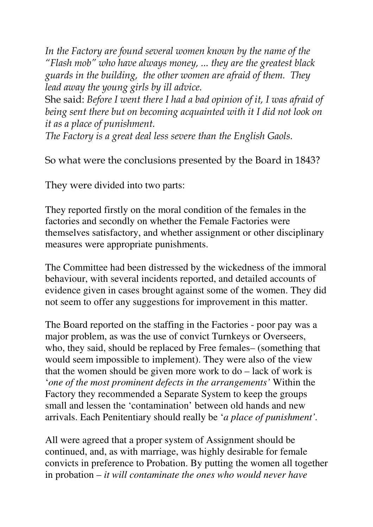In the Factory are found several women known by the name of the "Flash mob" who have always money, ... they are the greatest black guards in the building, the other women are afraid of them. They lead away the young girls by ill advice.

She said: Before I went there I had a bad opinion of it, I was afraid of being sent there but on becoming acquainted with it I did not look on it as a place of punishment.

The Factory is a great deal less severe than the English Gaols.

So what were the conclusions presented by the Board in 1843?

They were divided into two parts:

They reported firstly on the moral condition of the females in the factories and secondly on whether the Female Factories were themselves satisfactory, and whether assignment or other disciplinary measures were appropriate punishments.

The Committee had been distressed by the wickedness of the immoral behaviour, with several incidents reported, and detailed accounts of evidence given in cases brought against some of the women. They did not seem to offer any suggestions for improvement in this matter.

The Board reported on the staffing in the Factories - poor pay was a major problem, as was the use of convict Turnkeys or Overseers, who, they said, should be replaced by Free females– (something that would seem impossible to implement). They were also of the view that the women should be given more work to do – lack of work is '*one of the most prominent defects in the arrangements'* Within the Factory they recommended a Separate System to keep the groups small and lessen the 'contamination' between old hands and new arrivals. Each Penitentiary should really be '*a place of punishment'.*

All were agreed that a proper system of Assignment should be continued, and, as with marriage, was highly desirable for female convicts in preference to Probation. By putting the women all together in probation – *it will contaminate the ones who would never have*